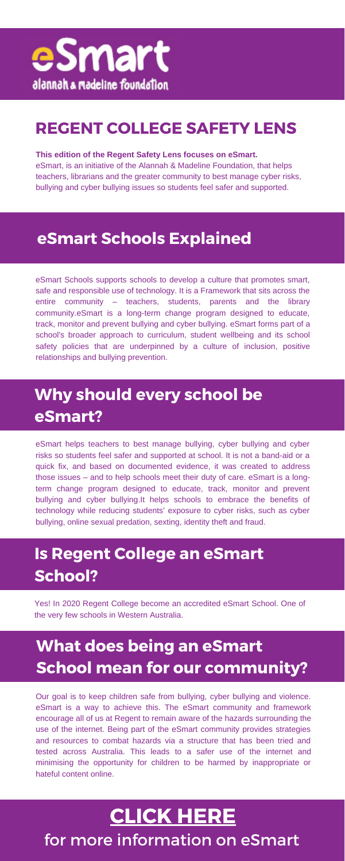eSmart Schools supports schools to develop a culture that promotes smart, safe and responsible use of technology. It is a Framework that sits across the entire community – teachers, students, parents and the library community.eSmart is a long-term change program designed to educate, track, monitor and prevent bullying and cyber bullying. eSmart forms part of a school's broader approach to curriculum, student wellbeing and its school safety policies that are underpinned by a culture of inclusion, positive relationships and bullying prevention.

#### **eSmart Schools Explained**

eSmart helps teachers to best manage bullying, cyber bullying and cyber risks so students feel safer and supported at school. It is not a band-aid or a quick fix, and based on documented evidence, it was created to address those issues – and to help schools meet their duty of care. eSmart is a longterm change program designed to educate, track, monitor and prevent bullying and cyber bullying.It helps schools to embrace the benefits of technology while reducing students' exposure to cyber risks, such as cyber

## **[CLICK](https://www.amf.org.au/media/2425/esmart-schools-faqs.pdf) HERE** for more information on eSmart

#### **Why should every school be eSmart?**

Yes! In 2020 Regent College become an accredited eSmart School. One of the very few schools in Western Australia.

#### **Is Regent College an eSmart School?**

Our goal is to keep children safe from bullying, cyber bullying and violence. eSmart is a way to achieve this. The eSmart community and framework encourage all of us at Regent to remain aware of the hazards surrounding the use of the internet. Being part of the eSmart community provides strategies and resources to combat hazards via a structure that has been tried and tested across Australia. This leads to a safer use of the internet and minimising the opportunity for children to be harmed by inappropriate or hateful content online.

### **What does being an eSmart School mean for our community?**

#### **This edition of the Regent Safety Lens focuses on eSmart.**

eSmart, is an initiative of the Alannah & Madeline Foundation, that helps teachers, librarians and the greater community to best manage cyber risks, bullying and cyber bullying issues so students feel safer and supported.



#### **REGENT COLLEGE SAFETY LENS**